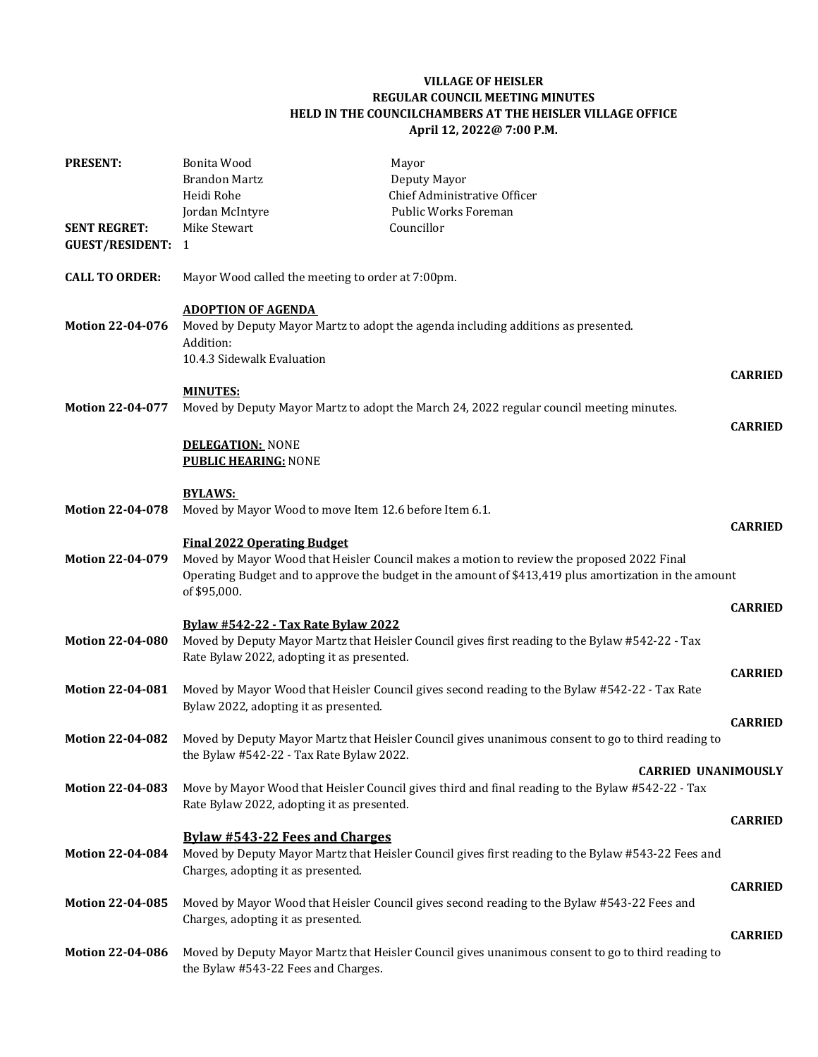## **VILLAGE OF HEISLER REGULAR COUNCIL MEETING MINUTES HELD IN THE COUNCILCHAMBERS AT THE HEISLER VILLAGE OFFICE April 12, 2022@ 7:00 P.M.**

| <b>PRESENT:</b>                               | Bonita Wood<br><b>Brandon Martz</b>                                  | Mayor<br>Deputy Mayor                                                                                                                                                                              |                |
|-----------------------------------------------|----------------------------------------------------------------------|----------------------------------------------------------------------------------------------------------------------------------------------------------------------------------------------------|----------------|
|                                               | Heidi Rohe                                                           | Chief Administrative Officer                                                                                                                                                                       |                |
|                                               | Jordan McIntyre                                                      | Public Works Foreman                                                                                                                                                                               |                |
| <b>SENT REGRET:</b><br><b>GUEST/RESIDENT:</b> | Mike Stewart<br>-1                                                   | Councillor                                                                                                                                                                                         |                |
| <b>CALL TO ORDER:</b>                         | Mayor Wood called the meeting to order at 7:00pm.                    |                                                                                                                                                                                                    |                |
| <b>Motion 22-04-076</b>                       | <b>ADOPTION OF AGENDA</b><br>Addition:<br>10.4.3 Sidewalk Evaluation | Moved by Deputy Mayor Martz to adopt the agenda including additions as presented.                                                                                                                  |                |
|                                               | <b>MINUTES:</b>                                                      |                                                                                                                                                                                                    | <b>CARRIED</b> |
| <b>Motion 22-04-077</b>                       |                                                                      | Moved by Deputy Mayor Martz to adopt the March 24, 2022 regular council meeting minutes.                                                                                                           | <b>CARRIED</b> |
|                                               | <b>DELEGATION: NONE</b>                                              |                                                                                                                                                                                                    |                |
|                                               | <b>PUBLIC HEARING: NONE</b>                                          |                                                                                                                                                                                                    |                |
|                                               | <b>BYLAWS:</b>                                                       |                                                                                                                                                                                                    |                |
| <b>Motion 22-04-078</b>                       | Moved by Mayor Wood to move Item 12.6 before Item 6.1.               |                                                                                                                                                                                                    |                |
|                                               | <b>Final 2022 Operating Budget</b>                                   |                                                                                                                                                                                                    | <b>CARRIED</b> |
| <b>Motion 22-04-079</b>                       | of \$95,000.                                                         | Moved by Mayor Wood that Heisler Council makes a motion to review the proposed 2022 Final<br>Operating Budget and to approve the budget in the amount of \$413,419 plus amortization in the amount |                |
|                                               |                                                                      |                                                                                                                                                                                                    | <b>CARRIED</b> |
|                                               | <b>Bylaw #542-22 - Tax Rate Bylaw 2022</b>                           |                                                                                                                                                                                                    |                |
| <b>Motion 22-04-080</b>                       | Rate Bylaw 2022, adopting it as presented.                           | Moved by Deputy Mayor Martz that Heisler Council gives first reading to the Bylaw #542-22 - Tax                                                                                                    |                |
| <b>Motion 22-04-081</b>                       |                                                                      | Moved by Mayor Wood that Heisler Council gives second reading to the Bylaw #542-22 - Tax Rate                                                                                                      | <b>CARRIED</b> |
|                                               | Bylaw 2022, adopting it as presented.                                |                                                                                                                                                                                                    |                |
| <b>Motion 22-04-082</b>                       |                                                                      | Moved by Deputy Mayor Martz that Heisler Council gives unanimous consent to go to third reading to                                                                                                 | <b>CARRIED</b> |
|                                               | the Bylaw #542-22 - Tax Rate Bylaw 2022.                             |                                                                                                                                                                                                    |                |
|                                               |                                                                      | <b>CARRIED UNANIMOUSLY</b>                                                                                                                                                                         |                |
| <b>Motion 22-04-083</b>                       | Rate Bylaw 2022, adopting it as presented.                           | Move by Mayor Wood that Heisler Council gives third and final reading to the Bylaw #542-22 - Tax                                                                                                   |                |
|                                               |                                                                      |                                                                                                                                                                                                    | <b>CARRIED</b> |
| <b>Motion 22-04-084</b>                       | <b>Bylaw #543-22 Fees and Charges</b>                                | Moved by Deputy Mayor Martz that Heisler Council gives first reading to the Bylaw #543-22 Fees and                                                                                                 |                |
|                                               | Charges, adopting it as presented.                                   |                                                                                                                                                                                                    |                |
|                                               |                                                                      |                                                                                                                                                                                                    | <b>CARRIED</b> |
| <b>Motion 22-04-085</b>                       | Charges, adopting it as presented.                                   | Moved by Mayor Wood that Heisler Council gives second reading to the Bylaw #543-22 Fees and                                                                                                        |                |
|                                               |                                                                      |                                                                                                                                                                                                    | <b>CARRIED</b> |
| <b>Motion 22-04-086</b>                       | the Bylaw #543-22 Fees and Charges.                                  | Moved by Deputy Mayor Martz that Heisler Council gives unanimous consent to go to third reading to                                                                                                 |                |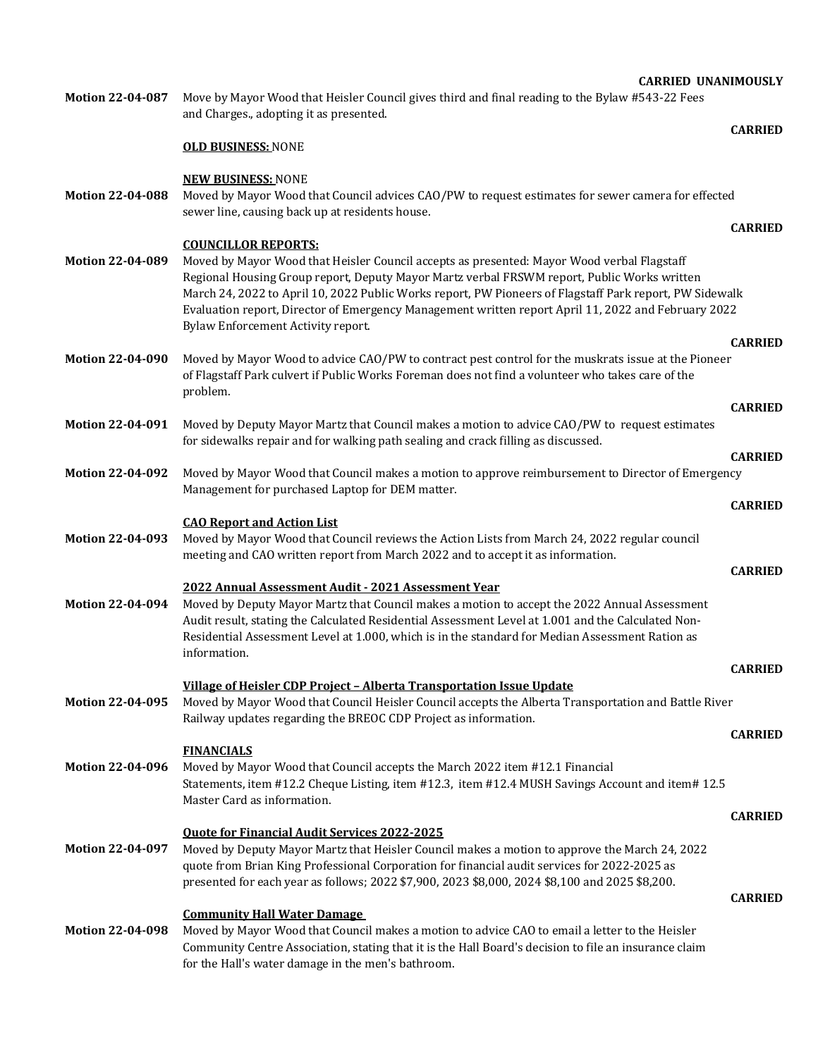| Motion 22-04-087        | Move by Mayor Wood that Heisler Council gives third and final reading to the Bylaw #543-22 Fees<br>and Charges., adopting it as presented.                                                                                                           |                |  |  |
|-------------------------|------------------------------------------------------------------------------------------------------------------------------------------------------------------------------------------------------------------------------------------------------|----------------|--|--|
|                         |                                                                                                                                                                                                                                                      | <b>CARRIED</b> |  |  |
|                         | <b>OLD BUSINESS: NONE</b>                                                                                                                                                                                                                            |                |  |  |
|                         | <b>NEW BUSINESS: NONE</b>                                                                                                                                                                                                                            |                |  |  |
| Motion 22-04-088        | Moved by Mayor Wood that Council advices CAO/PW to request estimates for sewer camera for effected<br>sewer line, causing back up at residents house.                                                                                                |                |  |  |
|                         |                                                                                                                                                                                                                                                      | <b>CARRIED</b> |  |  |
| <b>Motion 22-04-089</b> | <b>COUNCILLOR REPORTS:</b><br>Moved by Mayor Wood that Heisler Council accepts as presented: Mayor Wood verbal Flagstaff                                                                                                                             |                |  |  |
|                         | Regional Housing Group report, Deputy Mayor Martz verbal FRSWM report, Public Works written                                                                                                                                                          |                |  |  |
|                         | March 24, 2022 to April 10, 2022 Public Works report, PW Pioneers of Flagstaff Park report, PW Sidewalk<br>Evaluation report, Director of Emergency Management written report April 11, 2022 and February 2022<br>Bylaw Enforcement Activity report. |                |  |  |
|                         |                                                                                                                                                                                                                                                      | <b>CARRIED</b> |  |  |
| <b>Motion 22-04-090</b> | Moved by Mayor Wood to advice CAO/PW to contract pest control for the muskrats issue at the Pioneer<br>of Flagstaff Park culvert if Public Works Foreman does not find a volunteer who takes care of the<br>problem.                                 |                |  |  |
|                         |                                                                                                                                                                                                                                                      | <b>CARRIED</b> |  |  |
| <b>Motion 22-04-091</b> | Moved by Deputy Mayor Martz that Council makes a motion to advice CAO/PW to request estimates<br>for sidewalks repair and for walking path sealing and crack filling as discussed.                                                                   |                |  |  |
|                         |                                                                                                                                                                                                                                                      | <b>CARRIED</b> |  |  |
| <b>Motion 22-04-092</b> | Moved by Mayor Wood that Council makes a motion to approve reimbursement to Director of Emergency<br>Management for purchased Laptop for DEM matter.                                                                                                 |                |  |  |
|                         |                                                                                                                                                                                                                                                      | <b>CARRIED</b> |  |  |
|                         | <b>CAO Report and Action List</b>                                                                                                                                                                                                                    |                |  |  |
| Motion 22-04-093        | Moved by Mayor Wood that Council reviews the Action Lists from March 24, 2022 regular council<br>meeting and CAO written report from March 2022 and to accept it as information.                                                                     |                |  |  |
|                         |                                                                                                                                                                                                                                                      | <b>CARRIED</b> |  |  |
|                         | 2022 Annual Assessment Audit - 2021 Assessment Year                                                                                                                                                                                                  |                |  |  |
| Motion 22-04-094        | Moved by Deputy Mayor Martz that Council makes a motion to accept the 2022 Annual Assessment<br>Audit result, stating the Calculated Residential Assessment Level at 1.001 and the Calculated Non-                                                   |                |  |  |
|                         | Residential Assessment Level at 1.000, which is in the standard for Median Assessment Ration as                                                                                                                                                      |                |  |  |
|                         | information.                                                                                                                                                                                                                                         |                |  |  |
|                         |                                                                                                                                                                                                                                                      | <b>CARRIED</b> |  |  |
| Motion 22-04-095        | Village of Heisler CDP Project - Alberta Transportation Issue Update<br>Moved by Mayor Wood that Council Heisler Council accepts the Alberta Transportation and Battle River                                                                         |                |  |  |
|                         | Railway updates regarding the BREOC CDP Project as information.                                                                                                                                                                                      |                |  |  |
|                         |                                                                                                                                                                                                                                                      | <b>CARRIED</b> |  |  |
|                         | <b>FINANCIALS</b>                                                                                                                                                                                                                                    |                |  |  |
| <b>Motion 22-04-096</b> | Moved by Mayor Wood that Council accepts the March 2022 item #12.1 Financial<br>Statements, item #12.2 Cheque Listing, item #12.3, item #12.4 MUSH Savings Account and item#12.5<br>Master Card as information.                                      |                |  |  |
|                         |                                                                                                                                                                                                                                                      | <b>CARRIED</b> |  |  |
|                         | <b>Quote for Financial Audit Services 2022-2025</b>                                                                                                                                                                                                  |                |  |  |

**Motion 22-04-097** Moved by Deputy Mayor Martz that Heisler Council makes a motion to approve the March 24, 2022 quote from Brian King Professional Corporation for financial audit services for 2022-2025 as presented for each year as follows; 2022 \$7,900, 2023 \$8,000, 2024 \$8,100 and 2025 \$8,200.

**Community Hall Water Damage** 

**Motion 22-04-098** Moved by Mayor Wood that Council makes a motion to advice CAO to email a letter to the Heisler Community Centre Association, stating that it is the Hall Board's decision to file an insurance claim for the Hall's water damage in the men's bathroom.

## **CARRIED**

**CARRIED UNANIMOUSLY**